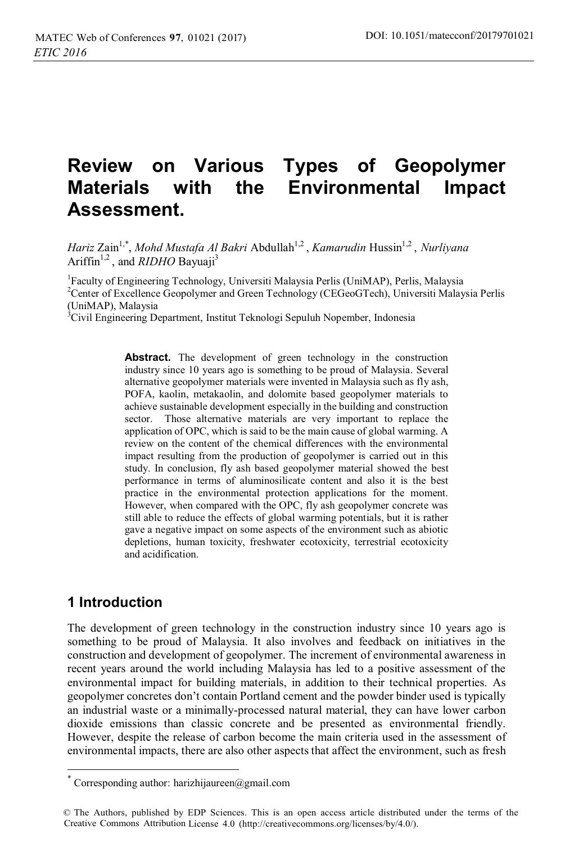# **Review on Various Types of Geopolymer Materials with the Environmental Impact Assessment.**

*Hariz Zain<sup>1,\*</sup>, Mohd Mustafa Al Bakri Abdullah<sup>1,2</sup>, <i>Kamarudin Hussin<sup>1,2</sup>, Nurliyana* Ariffin<sup>1,2</sup>, and *RIDHO* Bayuaii<sup>3</sup>

1 Faculty of Engineering Technology, Universiti Malaysia Perlis (UniMAP), Perlis, Malaysia <sup>2</sup> Center of Excellence Geopolymer and Green Technology (CEGeoGTech), Universiti Malaysia Perlis (UniMAP), Malaysia

<sup>3</sup>Civil Engineering Department, Institut Teknologi Sepuluh Nopember, Indonesia

Abstract. The development of green technology in the construction industry since 10 years ago is something to be proud of Malaysia. Several alternative geopolymer materials were invented in Malaysia such as fly ash, POFA, kaolin, metakaolin, and dolomite based geopolymer materials to achieve sustainable development especially in the building and construction sector. Those alternative materials are very important to replace the application of OPC, which is said to be the main cause of global warming. A review on the content of the chemical differences with the environmental impact resulting from the production of geopolymer is carried out in this study. In conclusion, fly ash based geopolymer material showed the best performance in terms of aluminosilicate content and also it is the best practice in the environmental protection applications for the moment. However, when compared with the OPC, fly ash geopolymer concrete was still able to reduce the effects of global warming potentials, but it is rather gave a negative impact on some aspects of the environment such as abiotic depletions, human toxicity, freshwater ecotoxicity, terrestrial ecotoxicity and acidification.

# **1 Introduction**

 $\overline{a}$ 

The development of green technology in the construction industry since 10 years ago is something to be proud of Malaysia. It also involves and feedback on initiatives in the construction and development of geopolymer. The increment of environmental awareness in recent years around the world including Malaysia has led to a positive assessment of the environmental impact for building materials, in addition to their technical properties. As geopolymer concretes don't contain Portland cement and the powder binder used is typically an industrial waste or a minimally-processed natural material, they can have lower carbon dioxide emissions than classic concrete and be presented as environmental friendly. However, despite the release of carbon become the main criteria used in the assessment of environmental impacts, there are also other aspects that affect the environment, such as fresh

Corresponding author: harizhijaureen@gmail.com

<sup>©</sup> The Authors, published by EDP Sciences. This is an open access article distributed under the terms of the Creative Commons Attribution License 4.0 (http://creativecommons.org/licenses/by/4.0/).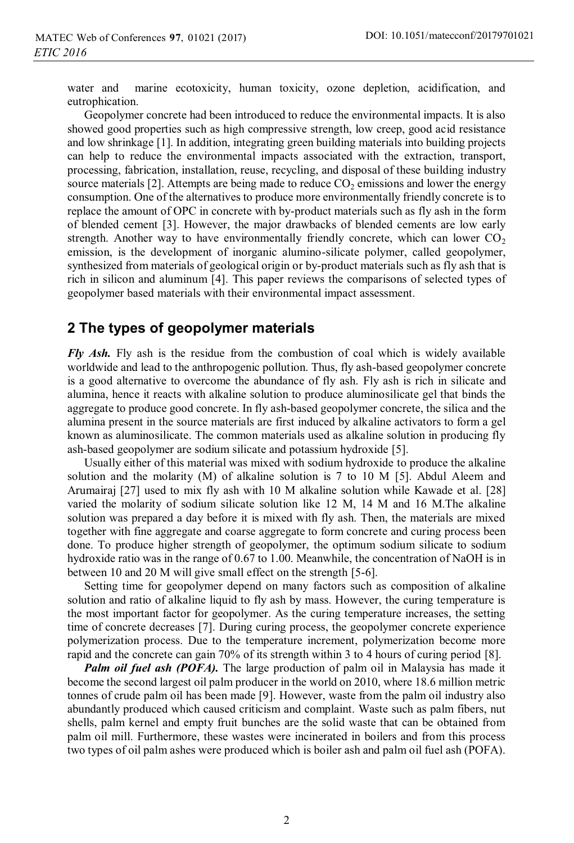water and marine ecotoxicity, human toxicity, ozone depletion, acidification, and eutrophication.

Geopolymer concrete had been introduced to reduce the environmental impacts. It is also showed good properties such as high compressive strength, low creep, good acid resistance and low shrinkage [1]. In addition, integrating green building materials into building projects can help to reduce the environmental impacts associated with the extraction, transport, processing, fabrication, installation, reuse, recycling, and disposal of these building industry source materials [2]. Attempts are being made to reduce  $CO<sub>2</sub>$  emissions and lower the energy consumption. One of the alternatives to produce more environmentally friendly concrete is to replace the amount of OPC in concrete with by-product materials such as fly ash in the form of blended cement [3]. However, the major drawbacks of blended cements are low early strength. Another way to have environmentally friendly concrete, which can lower  $CO<sub>2</sub>$ emission, is the development of inorganic alumino-silicate polymer, called geopolymer, synthesized from materials of geological origin or by-product materials such as fly ash that is rich in silicon and aluminum [4]. This paper reviews the comparisons of selected types of geopolymer based materials with their environmental impact assessment.

#### **2 The types of geopolymer materials**

*Fly Ash.* Fly ash is the residue from the combustion of coal which is widely available worldwide and lead to the anthropogenic pollution. Thus, fly ash-based geopolymer concrete is a good alternative to overcome the abundance of fly ash. Fly ash is rich in silicate and alumina, hence it reacts with alkaline solution to produce aluminosilicate gel that binds the aggregate to produce good concrete. In fly ash-based geopolymer concrete, the silica and the alumina present in the source materials are first induced by alkaline activators to form a gel known as aluminosilicate. The common materials used as alkaline solution in producing fly ash-based geopolymer are sodium silicate and potassium hydroxide [5].

Usually either of this material was mixed with sodium hydroxide to produce the alkaline solution and the molarity (M) of alkaline solution is 7 to 10 M [5]. Abdul Aleem and Arumairaj [27] used to mix fly ash with 10 M alkaline solution while Kawade et al. [28] varied the molarity of sodium silicate solution like 12 M, 14 M and 16 M.The alkaline solution was prepared a day before it is mixed with fly ash. Then, the materials are mixed together with fine aggregate and coarse aggregate to form concrete and curing process been done. To produce higher strength of geopolymer, the optimum sodium silicate to sodium hydroxide ratio was in the range of 0.67 to 1.00. Meanwhile, the concentration of NaOH is in between 10 and 20 M will give small effect on the strength [5-6].

Setting time for geopolymer depend on many factors such as composition of alkaline solution and ratio of alkaline liquid to fly ash by mass. However, the curing temperature is the most important factor for geopolymer. As the curing temperature increases, the setting time of concrete decreases [7]. During curing process, the geopolymer concrete experience polymerization process. Due to the temperature increment, polymerization become more rapid and the concrete can gain 70% of its strength within 3 to 4 hours of curing period [8].

*Palm oil fuel ash (POFA)*. The large production of palm oil in Malaysia has made it become the second largest oil palm producer in the world on 2010, where 18.6 million metric tonnes of crude palm oil has been made [9]. However, waste from the palm oil industry also abundantly produced which caused criticism and complaint. Waste such as palm fibers, nut shells, palm kernel and empty fruit bunches are the solid waste that can be obtained from palm oil mill. Furthermore, these wastes were incinerated in boilers and from this process two types of oil palm ashes were produced which is boiler ash and palm oil fuel ash (POFA).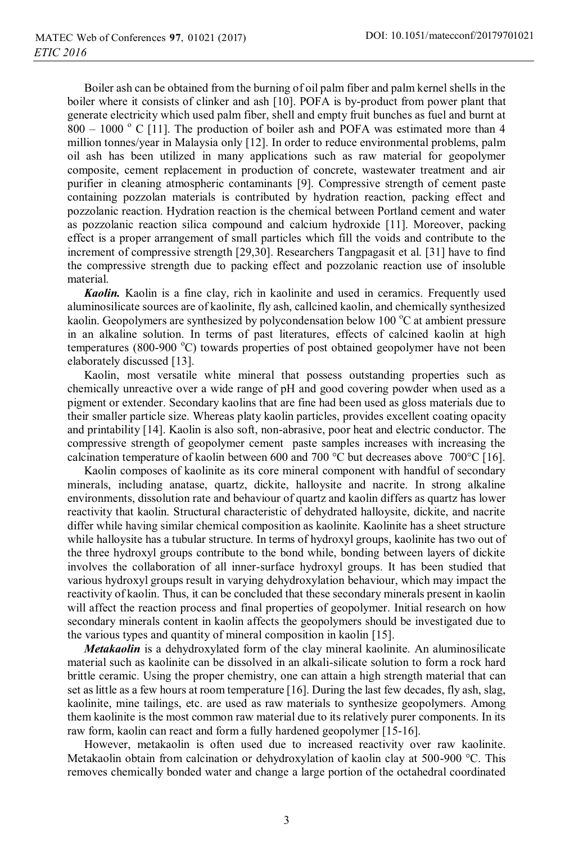Boiler ash can be obtained from the burning of oil palm fiber and palm kernel shells in the boiler where it consists of clinker and ash [10]. POFA is by-product from power plant that generate electricity which used palm fiber, shell and empty fruit bunches as fuel and burnt at  $800 - 1000$  ° C [11]. The production of boiler ash and POFA was estimated more than 4 million tonnes/year in Malaysia only [12]. In order to reduce environmental problems, palm oil ash has been utilized in many applications such as raw material for geopolymer composite, cement replacement in production of concrete, wastewater treatment and air purifier in cleaning atmospheric contaminants [9]. Compressive strength of cement paste containing pozzolan materials is contributed by hydration reaction, packing effect and pozzolanic reaction. Hydration reaction is the chemical between Portland cement and water as pozzolanic reaction silica compound and calcium hydroxide [11]. Moreover, packing effect is a proper arrangement of small particles which fill the voids and contribute to the increment of compressive strength [29,30]. Researchers Tangpagasit et al. [31] have to find the compressive strength due to packing effect and pozzolanic reaction use of insoluble material.

*Kaolin.* Kaolin is a fine clay, rich in kaolinite and used in ceramics. Frequently used aluminosilicate sources are of kaolinite, fly ash, callcined kaolin, and chemically synthesized kaolin. Geopolymers are synthesized by polycondensation below 100 °C at ambient pressure in an alkaline solution. In terms of past literatures, effects of calcined kaolin at high temperatures (800-900 °C) towards properties of post obtained geopolymer have not been elaborately discussed [13].

Kaolin, most versatile white mineral that possess outstanding properties such as chemically unreactive over a wide range of pH and good covering powder when used as a pigment or extender. Secondary kaolins that are fine had been used as gloss materials due to their smaller particle size. Whereas platy kaolin particles, provides excellent coating opacity and printability [14]. Kaolin is also soft, non-abrasive, poor heat and electric conductor. The compressive strength of geopolymer cement paste samples increases with increasing the calcination temperature of kaolin between 600 and 700 °C but decreases above 700 °C [16].

Kaolin composes of kaolinite as its core mineral component with handful of secondary minerals, including anatase, quartz, dickite, halloysite and nacrite. In strong alkaline environments, dissolution rate and behaviour of quartz and kaolin differs as quartz has lower reactivity that kaolin. Structural characteristic of dehydrated halloysite, dickite, and nacrite differ while having similar chemical composition as kaolinite. Kaolinite has a sheet structure while halloysite has a tubular structure. In terms of hydroxyl groups, kaolinite has two out of the three hydroxyl groups contribute to the bond while, bonding between layers of dickite involves the collaboration of all inner-surface hydroxyl groups. It has been studied that various hydroxyl groups result in varying dehydroxylation behaviour, which may impact the reactivity of kaolin. Thus, it can be concluded that these secondary minerals present in kaolin will affect the reaction process and final properties of geopolymer. Initial research on how secondary minerals content in kaolin affects the geopolymers should be investigated due to the various types and quantity of mineral composition in kaolin [15].

*Metakaolin* is a dehydroxylated form of the clay mineral kaolinite. An aluminosilicate material such as kaolinite can be dissolved in an alkali-silicate solution to form a rock hard brittle ceramic. Using the proper chemistry, one can attain a high strength material that can set as little as a few hours at room temperature [16]. During the last few decades, fly ash, slag, kaolinite, mine tailings, etc. are used as raw materials to synthesize geopolymers. Among them kaolinite is the most common raw material due to its relatively purer components. In its raw form, kaolin can react and form a fully hardened geopolymer [15-16].

However, metakaolin is often used due to increased reactivity over raw kaolinite. Metakaolin obtain from calcination or dehydroxylation of kaolin clay at 500-900 °C. This removes chemically bonded water and change a large portion of the octahedral coordinated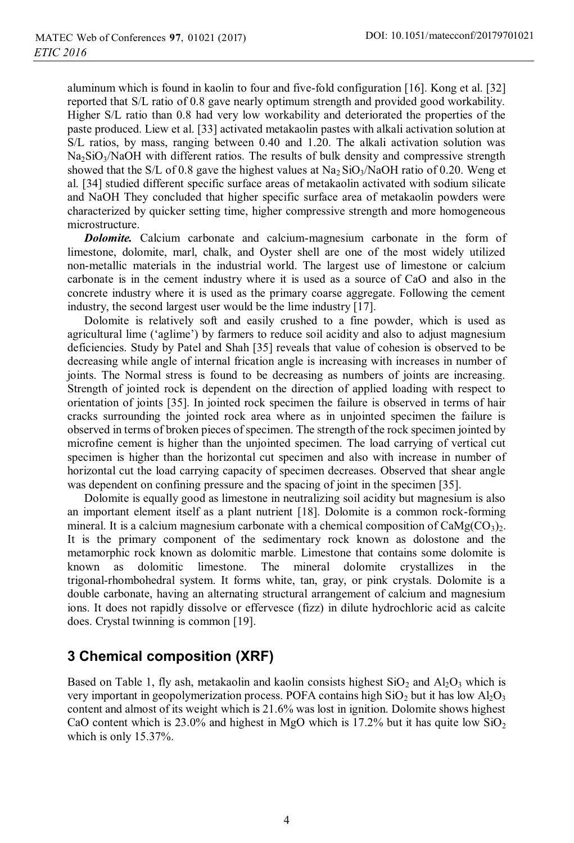aluminum which is found in kaolin to four and five-fold configuration [16]. Kong et al. [32] reported that S/L ratio of 0.8 gave nearly optimum strength and provided good workability. Higher S/L ratio than 0.8 had very low workability and deteriorated the properties of the paste produced. Liew et al. [33] activated metakaolin pastes with alkali activation solution at S/L ratios, by mass, ranging between 0.40 and 1.20. The alkali activation solution was  $Na<sub>2</sub>SiO<sub>3</sub>/NaOH$  with different ratios. The results of bulk density and compressive strength showed that the S/L of 0.8 gave the highest values at  $Na<sub>2</sub>SiO<sub>3</sub>/NaOH$  ratio of 0.20. Weng et al. [34] studied different specific surface areas of metakaolin activated with sodium silicate and NaOH They concluded that higher specific surface area of metakaolin powders were characterized by quicker setting time, higher compressive strength and more homogeneous microstructure.

*Dolomite.* Calcium carbonate and calcium-magnesium carbonate in the form of limestone, dolomite, marl, chalk, and Oyster shell are one of the most widely utilized non-metallic materials in the industrial world. The largest use of limestone or calcium carbonate is in the cement industry where it is used as a source of CaO and also in the concrete industry where it is used as the primary coarse aggregate. Following the cement industry, the second largest user would be the lime industry [17].

Dolomite is relatively soft and easily crushed to a fine powder, which is used as agricultural lime ('aglime') by farmers to reduce soil acidity and also to adjust magnesium deficiencies. Study by Patel and Shah [35] reveals that value of cohesion is observed to be decreasing while angle of internal frication angle is increasing with increases in number of joints. The Normal stress is found to be decreasing as numbers of joints are increasing. Strength of jointed rock is dependent on the direction of applied loading with respect to orientation of joints [35]. In jointed rock specimen the failure is observed in terms of hair cracks surrounding the jointed rock area where as in unjointed specimen the failure is observed in terms of broken pieces of specimen. The strength of the rock specimen jointed by microfine cement is higher than the unjointed specimen. The load carrying of vertical cut specimen is higher than the horizontal cut specimen and also with increase in number of horizontal cut the load carrying capacity of specimen decreases. Observed that shear angle was dependent on confining pressure and the spacing of joint in the specimen [35].

Dolomite is equally good as limestone in neutralizing soil acidity but magnesium is also an important element itself as a plant nutrient [18]. Dolomite is a common rock-forming mineral. It is a calcium magnesium carbonate with a chemical composition of  $\text{CaMg(CO<sub>3</sub>)}_2$ . It is the primary component of the sedimentary rock known as dolostone and the metamorphic rock known as dolomitic marble. Limestone that contains some dolomite is known as dolomitic limestone. The mineral dolomite crystallizes in the trigonal-rhombohedral system. It forms white, tan, gray, or pink crystals. Dolomite is a double carbonate, having an alternating structural arrangement of calcium and magnesium ions. It does not rapidly dissolve or effervesce (fizz) in dilute hydrochloric acid as calcite does. Crystal twinning is common [19].

### **3 Chemical composition (XRF)**

Based on Table 1, fly ash, metakaolin and kaolin consists highest  $SiO<sub>2</sub>$  and  $Al<sub>2</sub>O<sub>3</sub>$  which is very important in geopolymerization process. POFA contains high  $SiO<sub>2</sub>$  but it has low Al<sub>2</sub>O<sub>3</sub> content and almost of its weight which is 21.6% was lost in ignition. Dolomite shows highest CaO content which is 23.0% and highest in MgO which is 17.2% but it has quite low  $SiO<sub>2</sub>$ which is only 15.37%.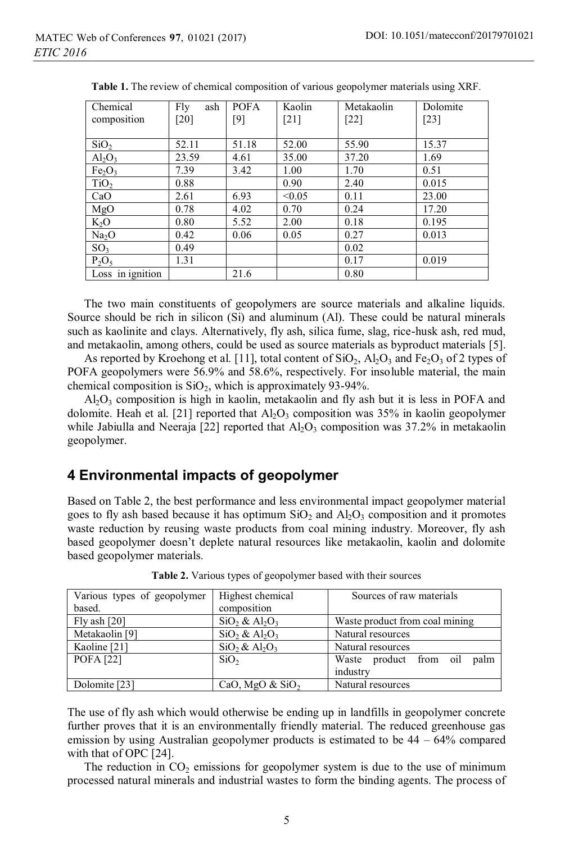| Chemical                       | Fly<br>ash | <b>POFA</b> | Kaolin             | Metakaolin | Dolomite |
|--------------------------------|------------|-------------|--------------------|------------|----------|
| composition                    | [20]       | [9]         | $\lceil 21 \rceil$ | $[22]$     | $[23]$   |
|                                |            |             |                    |            |          |
| SiO <sub>2</sub>               | 52.11      | 51.18       | 52.00              | 55.90      | 15.37    |
| $Al_2O_3$                      | 23.59      | 4.61        | 35.00              | 37.20      | 1.69     |
| Fe <sub>2</sub> O <sub>3</sub> | 7.39       | 3.42        | 1.00               | 1.70       | 0.51     |
| TiO <sub>2</sub>               | 0.88       |             | 0.90               | 2.40       | 0.015    |
| CaO                            | 2.61       | 6.93        | < 0.05             | 0.11       | 23.00    |
| MgO                            | 0.78       | 4.02        | 0.70               | 0.24       | 17.20    |
| $K_2O$                         | 0.80       | 5.52        | 2.00               | 0.18       | 0.195    |
| Na <sub>2</sub> O              | 0.42       | 0.06        | 0.05               | 0.27       | 0.013    |
| SO <sub>3</sub>                | 0.49       |             |                    | 0.02       |          |
| $P_2O_5$                       | 1.31       |             |                    | 0.17       | 0.019    |
| Loss in ignition               |            | 21.6        |                    | 0.80       |          |

**Table 1.** The review of chemical composition of various geopolymer materials using XRF.

The two main constituents of geopolymers are source materials and alkaline liquids. Source should be rich in silicon (Si) and aluminum (Al). These could be natural minerals such as kaolinite and clays. Alternatively, fly ash, silica fume, slag, rice-husk ash, red mud, and metakaolin, among others, could be used as source materials as byproduct materials [5].

As reported by Kroehong et al. [11], total content of  $SiO_2$ ,  $Al_2O_3$  and Fe<sub>2</sub>O<sub>3</sub> of 2 types of POFA geopolymers were 56.9% and 58.6%, respectively. For insoluble material, the main chemical composition is  $SiO<sub>2</sub>$ , which is approximately 93-94%.

 $A<sub>1</sub>O<sub>3</sub>$  composition is high in kaolin, metakaolin and fly ash but it is less in POFA and dolomite. Heah et al. [21] reported that  $A_2O_3$  composition was 35% in kaolin geopolymer while Jabiulla and Neeraja [22] reported that  $A_1O_3$  composition was 37.2% in metakaolin geopolymer.

### **4 Environmental impacts of geopolymer**

Based on Table 2, the best performance and less environmental impact geopolymer material goes to fly ash based because it has optimum  $SiO<sub>2</sub>$  and  $Al<sub>2</sub>O<sub>3</sub>$  composition and it promotes waste reduction by reusing waste products from coal mining industry. Moreover, fly ash based geopolymer doesn't deplete natural resources like metakaolin, kaolin and dolomite based geopolymer materials.

| Various types of geopolymer | Highest chemical                        | Sources of raw materials       |  |  |
|-----------------------------|-----------------------------------------|--------------------------------|--|--|
| based.                      | composition                             |                                |  |  |
| Fly ash $[20]$              | $SiO2$ & Al <sub>2</sub> O <sub>3</sub> | Waste product from coal mining |  |  |
| Metakaolin [9]              | $SiO_2 \& Al_2O_3$                      | Natural resources              |  |  |
| Kaoline [21]                | $SiO2 \& Al2O3$                         | Natural resources              |  |  |
| <b>POFA</b> [22]            | SiO <sub>2</sub>                        | Waste product from oil<br>palm |  |  |
|                             |                                         | industry                       |  |  |
| Dolomite [23]               | CaO, MgO $&$ SiO <sub>2</sub>           | Natural resources              |  |  |

**Table 2.** Various types of geopolymer based with their sources

The use of fly ash which would otherwise be ending up in landfills in geopolymer concrete further proves that it is an environmentally friendly material. The reduced greenhouse gas emission by using Australian geopolymer products is estimated to be  $44 - 64\%$  compared with that of OPC [24].

The reduction in  $CO<sub>2</sub>$  emissions for geopolymer system is due to the use of minimum processed natural minerals and industrial wastes to form the binding agents. The process of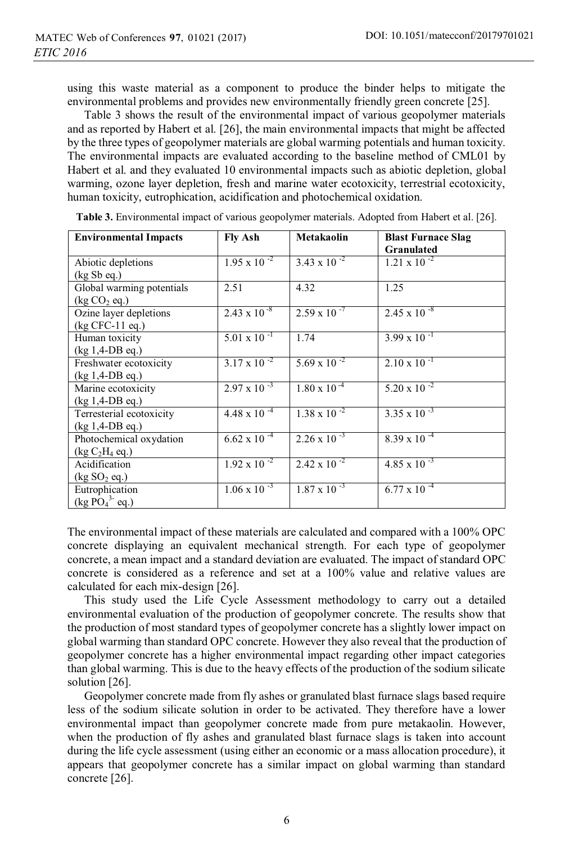using this waste material as a component to produce the binder helps to mitigate the environmental problems and provides new environmentally friendly green concrete [25].

Table 3 shows the result of the environmental impact of various geopolymer materials and as reported by Habert et al. [26], the main environmental impacts that might be affected by the three types of geopolymer materials are global warming potentials and human toxicity. The environmental impacts are evaluated according to the baseline method of CML01 by Habert et al. and they evaluated 10 environmental impacts such as abiotic depletion, global warming, ozone layer depletion, fresh and marine water ecotoxicity, terrestrial ecotoxicity, human toxicity, eutrophication, acidification and photochemical oxidation.

| <b>Environmental Impacts</b>                                      | <b>Fly Ash</b>        | Metakaolin            | <b>Blast Furnace Slag</b><br><b>Granulated</b> |
|-------------------------------------------------------------------|-----------------------|-----------------------|------------------------------------------------|
| Abiotic depletions<br>(kg Sb eq.)                                 | $1.95 \times 10^{-2}$ | $3.43 \times 10^{-2}$ | $1.21 \times 10^{-2}$                          |
| Global warming potentials<br>$(\text{kg CO}_2 \text{ eq.})$       | 2.51                  | 4.32                  | 1.25                                           |
| Ozine layer depletions<br>$(kg CFC-11 eq.)$                       | $2.43 \times 10^{-8}$ | $2.59 \times 10^{-7}$ | $2.45 \times 10^{-8}$                          |
| Human toxicity<br>$(kg 1,4-DB eq.)$                               | $5.01 \times 10^{-1}$ | 1.74                  | $3.99 \times 10^{-1}$                          |
| Freshwater ecotoxicity<br>(kg 1,4-DB eq.)                         | $3.17 \times 10^{-2}$ | $5.69 \times 10^{-2}$ | $2.10 \times 10^{-1}$                          |
| Marine ecotoxicity<br>$(kg 1,4-DB eq.)$                           | $2.97 \times 10^{-3}$ | $1.80 \times 10^{-4}$ | $5.20 \times 10^{-2}$                          |
| Terresterial ecotoxicity<br>$(kg 1,4-DB eq.)$                     | $4.48 \times 10^{-4}$ | $1.38 \times 10^{-2}$ | $3.35 \times 10^{-3}$                          |
| Photochemical oxydation<br>(kg C <sub>2</sub> H <sub>4</sub> eq.) | $6.62 \times 10^{-4}$ | $2.26 \times 10^{-3}$ | $8.39 \times 10^{-4}$                          |
| Acidification<br>$(\text{kg SO}_2 \text{ eq.})$                   | $1.92 \times 10^{-2}$ | $2.42 \times 10^{-2}$ | 4.85 x 10 $^{-3}$                              |
| Eutrophication<br>$(kg PO43- eq.)$                                | $1.06 \times 10^{-3}$ | $1.87 \times 10^{-3}$ | $6.77 \times 10^{-4}$                          |

**Table 3.** Environmental impact of various geopolymer materials. Adopted from Habert et al. [26].

The environmental impact of these materials are calculated and compared with a 100% OPC concrete displaying an equivalent mechanical strength. For each type of geopolymer concrete, a mean impact and a standard deviation are evaluated. The impact of standard OPC concrete is considered as a reference and set at a 100% value and relative values are calculated for each mix-design [26].

This study used the Life Cycle Assessment methodology to carry out a detailed environmental evaluation of the production of geopolymer concrete. The results show that the production of most standard types of geopolymer concrete has a slightly lower impact on global warming than standard OPC concrete. However they also reveal that the production of geopolymer concrete has a higher environmental impact regarding other impact categories than global warming. This is due to the heavy effects of the production of the sodium silicate solution [26].

Geopolymer concrete made from fly ashes or granulated blast furnace slags based require less of the sodium silicate solution in order to be activated. They therefore have a lower environmental impact than geopolymer concrete made from pure metakaolin. However, when the production of fly ashes and granulated blast furnace slags is taken into account during the life cycle assessment (using either an economic or a mass allocation procedure), it appears that geopolymer concrete has a similar impact on global warming than standard concrete [26].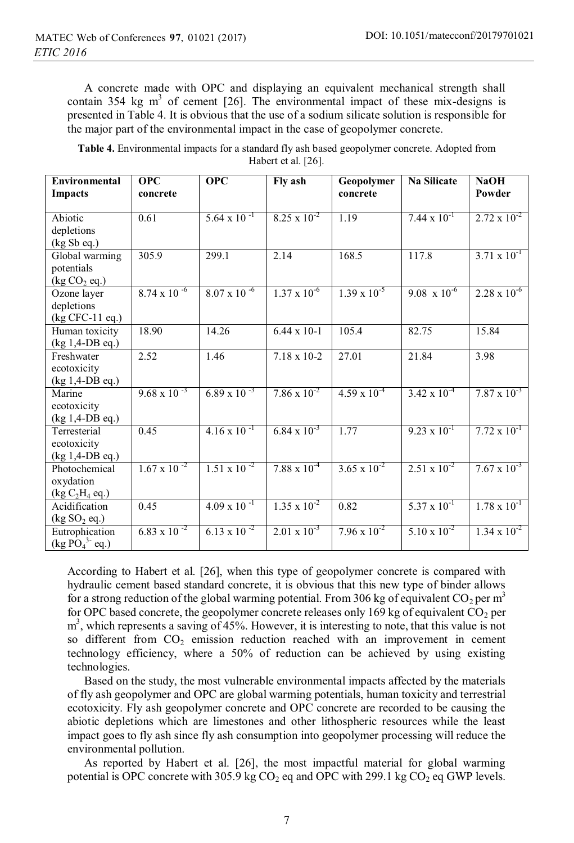A concrete made with OPC and displaying an equivalent mechanical strength shall contain 354 kg  $m^3$  of cement [26]. The environmental impact of these mix-designs is presented in Table 4. It is obvious that the use of a sodium silicate solution is responsible for the major part of the environmental impact in the case of geopolymer concrete.

| Table 4. Environmental impacts for a standard fly ash based geopolymer concrete. Adopted from |                     |  |
|-----------------------------------------------------------------------------------------------|---------------------|--|
|                                                                                               | Habert et al. [26]. |  |

| Environmental<br><b>Impacts</b>                                | <b>OPC</b><br>concrete | <b>OPC</b>            | Fly ash               | Geopolymer<br>concrete | <b>Na Silicate</b>    | <b>NaOH</b><br>Powder |
|----------------------------------------------------------------|------------------------|-----------------------|-----------------------|------------------------|-----------------------|-----------------------|
| Abiotic<br>depletions                                          | 0.61                   | $5.64 \times 10^{-1}$ | $8.25 \times 10^{-2}$ | 1.19                   | $7.44 \times 10^{-1}$ | $2.72 \times 10^{-2}$ |
| (kg Sb eq.)                                                    |                        |                       |                       |                        |                       |                       |
| Global warming<br>potentials<br>$(\text{kg CO}_2 \text{ eq.})$ | 305.9                  | 299.1                 | 2.14                  | 168.5                  | 117.8                 | $3.71 \times 10^{-1}$ |
| Ozone layer<br>depletions<br>(kg CFC-11 eq.)                   | $8.74 \times 10^{-6}$  | $8.07 \times 10^{-6}$ | $1.37 \times 10^{-6}$ | $1.39 \times 10^{-5}$  | $9.08 \times 10^{-6}$ | $2.28 \times 10^{-6}$ |
| Human toxicity<br>(kg 1,4-DB eq.)                              | 18.90                  | 14.26                 | $6.44 \times 10 - 1$  | 105.4                  | 82.75                 | 15.84                 |
| Freshwater<br>ecotoxicity<br>(kg 1,4-DB eq.)                   | 2.52                   | 1.46                  | $7.18 \times 10 - 2$  | 27.01                  | 21.84                 | 3.98                  |
| Marine<br>ecotoxicity<br>$(kg 1,4-DB eq.)$                     | $9.68 \times 10^{-3}$  | $6.89 \times 10^{-3}$ | $7.86 \times 10^{-2}$ | $4.59 \times 10^{-4}$  | $3.42 \times 10^{-4}$ | $7.87 \times 10^{-3}$ |
| Terresterial<br>ecotoxicity<br>$(kg 1, 4-DB eq.)$              | 0.45                   | $4.16 \times 10^{-1}$ | $6.84 \times 10^{-3}$ | 1.77                   | $9.23 \times 10^{-1}$ | $7.72 \times 10^{-1}$ |
| Photochemical<br>oxydation<br>$(kg C_2H_4 eq.)$                | $1.67 \times 10^{-2}$  | $1.51 \times 10^{-2}$ | $7.88 \times 10^{-4}$ | $3.65 \times 10^{-2}$  | $2.51 \times 10^{-2}$ | $7.67 \times 10^{-3}$ |
| Acidification<br>(kg SO <sub>2</sub> eq.)                      | 0.45                   | $4.09 \times 10^{-1}$ | $1.35 \times 10^{-2}$ | 0.82                   | $5.37 \times 10^{-1}$ | $1.78 \times 10^{-1}$ |
| Eutrophication<br>$(kg\overline{PO_4}^3$ -eq.)                 | $6.83 \times 10^{-2}$  | $6.13 \times 10^{-2}$ | $2.01 \times 10^{-3}$ | $7.96 \times 10^{-2}$  | $5.10 \times 10^{-2}$ | $1.34 \times 10^{-2}$ |

According to Habert et al. [26], when this type of geopolymer concrete is compared with hydraulic cement based standard concrete, it is obvious that this new type of binder allows for a strong reduction of the global warming potential. From 306 kg of equivalent  $CO_2$  per m<sup>3</sup> for OPC based concrete, the geopolymer concrete releases only 169 kg of equivalent  $CO<sub>2</sub>$  per m<sup>3</sup>, which represents a saving of 45%. However, it is interesting to note, that this value is not so different from  $CO<sub>2</sub>$  emission reduction reached with an improvement in cement technology efficiency, where a 50% of reduction can be achieved by using existing technologies.

Based on the study, the most vulnerable environmental impacts affected by the materials of fly ash geopolymer and OPC are global warming potentials, human toxicity and terrestrial ecotoxicity. Fly ash geopolymer concrete and OPC concrete are recorded to be causing the abiotic depletions which are limestones and other lithospheric resources while the least impact goes to fly ash since fly ash consumption into geopolymer processing will reduce the environmental pollution.

As reported by Habert et al. [26], the most impactful material for global warming potential is OPC concrete with 305.9 kg  $CO<sub>2</sub>$  eq and OPC with 299.1 kg  $CO<sub>2</sub>$  eq GWP levels.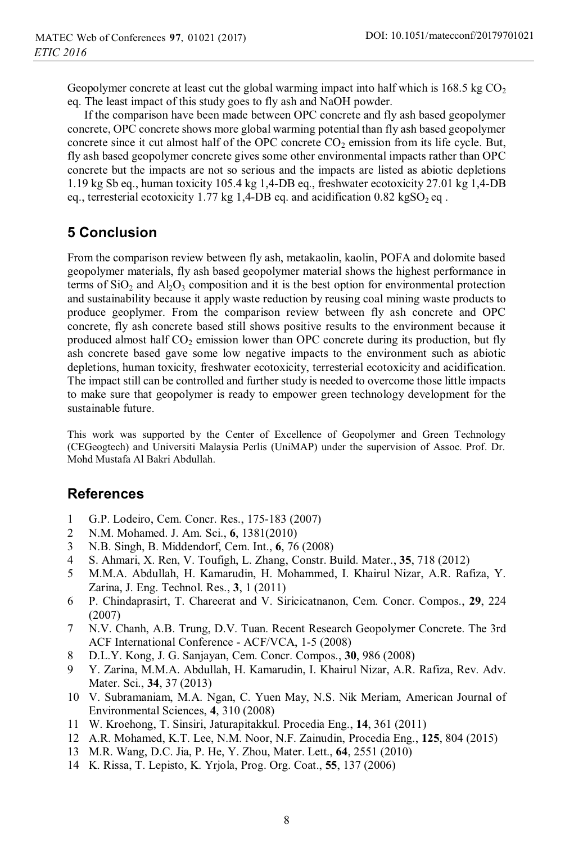Geopolymer concrete at least cut the global warming impact into half which is 168.5 kg  $CO<sub>2</sub>$ eq. The least impact of this study goes to fly ash and NaOH powder.

If the comparison have been made between OPC concrete and fly ash based geopolymer concrete, OPC concrete shows more global warming potential than fly ash based geopolymer concrete since it cut almost half of the OPC concrete  $CO<sub>2</sub>$  emission from its life cycle. But, fly ash based geopolymer concrete gives some other environmental impacts rather than OPC concrete but the impacts are not so serious and the impacts are listed as abiotic depletions 1.19 kg Sb eq., human toxicity 105.4 kg 1,4-DB eq., freshwater ecotoxicity 27.01 kg 1,4-DB eq., terresterial ecotoxicity 1.77 kg 1,4-DB eq. and acidification  $0.82 \text{ kgSO}_2$  eq.

# **5 Conclusion**

From the comparison review between fly ash, metakaolin, kaolin, POFA and dolomite based geopolymer materials, fly ash based geopolymer material shows the highest performance in terms of  $SiO<sub>2</sub>$  and  $Al<sub>2</sub>O<sub>3</sub>$  composition and it is the best option for environmental protection and sustainability because it apply waste reduction by reusing coal mining waste products to produce geoplymer. From the comparison review between fly ash concrete and OPC concrete, fly ash concrete based still shows positive results to the environment because it produced almost half  $CO<sub>2</sub>$  emission lower than OPC concrete during its production, but fly ash concrete based gave some low negative impacts to the environment such as abiotic depletions, human toxicity, freshwater ecotoxicity, terresterial ecotoxicity and acidification. The impact still can be controlled and further study is needed to overcome those little impacts to make sure that geopolymer is ready to empower green technology development for the sustainable future.

This work was supported by the Center of Excellence of Geopolymer and Green Technology (CEGeogtech) and Universiti Malaysia Perlis (UniMAP) under the supervision of Assoc. Prof. Dr. Mohd Mustafa Al Bakri Abdullah.

### **References**

- 1 G.P. Lodeiro, Cem. Concr. Res., 175-183 (2007)
- 2 N.M. Mohamed. J. Am. Sci., **6**, 1381(2010)
- 3 N.B. Singh, B. Middendorf, Cem. Int., **6**, 76 (2008)
- 4 S. Ahmari, X. Ren, V. Toufigh, L. Zhang, Constr. Build. Mater., **35**, 718 (2012)
- 5 M.M.A. Abdullah, H. Kamarudin, H. Mohammed, I. Khairul Nizar, A.R. Rafiza, Y. Zarina, J. Eng. Technol. Res., **3**, 1 (2011)
- 6 P. Chindaprasirt, T. Chareerat and V. Siricicatnanon, Cem. Concr. Compos., **29**, 224 (2007)
- 7 N.V. Chanh, A.B. Trung, D.V. Tuan. Recent Research Geopolymer Concrete. The 3rd ACF International Conference - ACF/VCA, 1-5 (2008)
- 8 D.L.Y. Kong, J. G. Sanjayan, Cem. Concr. Compos., **30**, 986 (2008)
- 9 Y. Zarina, M.M.A. Abdullah, H. Kamarudin, I. Khairul Nizar, A.R. Rafiza, Rev. Adv. Mater. Sci., **34**, 37 (2013)
- 10 V. Subramaniam, M.A. Ngan, C. Yuen May, N.S. Nik Meriam, American Journal of Environmental Sciences, **4**, 310 (2008)
- 11 W. Kroehong, T. Sinsiri, Jaturapitakkul. Procedia Eng., **14**, 361 (2011)
- 12 A.R. Mohamed, K.T. Lee, N.M. Noor, N.F. Zainudin, Procedia Eng., **125**, 804 (2015)
- 13 M.R. Wang, D.C. Jia, P. He, Y. Zhou, Mater. Lett., **64**, 2551 (2010)
- 14 K. Rissa, T. Lepisto, K. Yrjola, Prog. Org. Coat., **55**, 137 (2006)